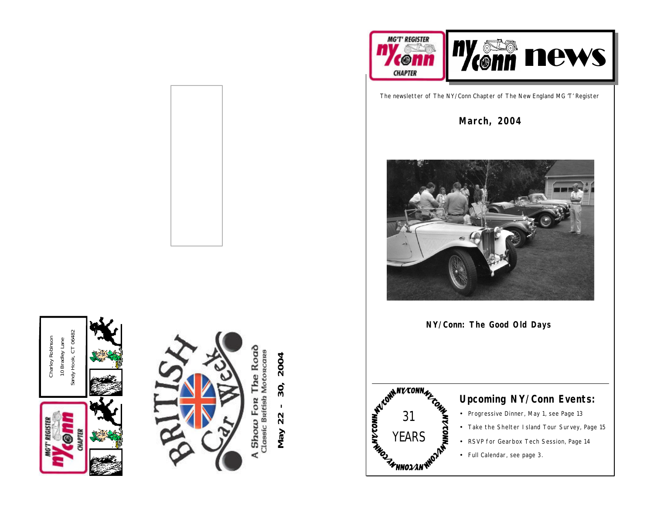



The Road Show For The Road ₫

30, 2004 **May 22 - 30, 2004**  $\mathbf{I}$ May 22



The newsletter of The NY/Conn Chapter of The New England MG 'T' Register

**March, 2004**



**NY/Conn: The Good Old Days**



## **Upcoming NY/Conn Events:**

- Progressive Dinner, May 1, see Page 13
- Take the Shelter Island Tour Survey, Page 15
- RSVP for Gearbox Tech Session, Page 14
- Full Calendar, see page 3.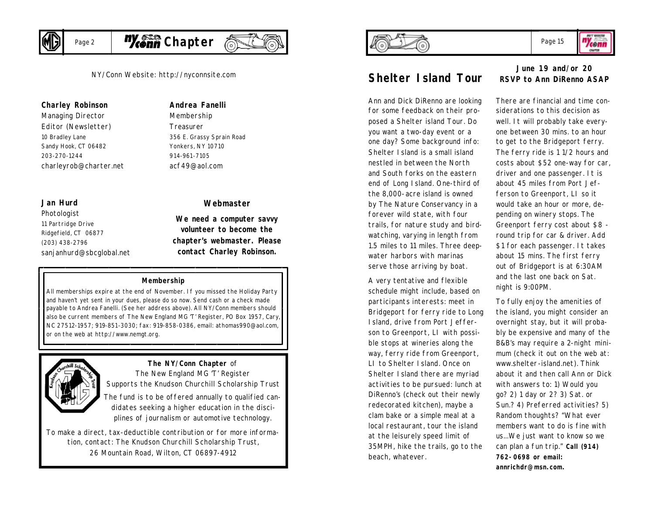

Page 2



NY/Conn Website: http://nyconnsite.com

### **Charley Robinson**

*Managing Director Editor (Newsletter)* 10 Bradley Lane Sandy Hook, CT 06482 203-270-1244 charleyrob@charter.net

#### **Jan Hurd**

*Photologist* 11 Partridge Drive Ridgefield, CT 06877 (203) 438-2796 sanjanhurd@sbcglobal.net

## **Andrea Fanelli**

*Membership Treasurer* 356 E. Grassy Sprain Road Yonkers, NY 10710 914-961-7105 acf49@aol.com

#### **Webmaster**

**We need a computer savvy volunteer to become the chapter's webmaster. Please contact Charley Robinson.**

#### **Membership**

All memberships expire at the end of November. If you missed the Holiday Party and haven't yet sent in your dues, please do so now. Send cash or a check made payable to Andrea Fanelli. (See her address above). All NY/Conn members should also be current members of The New England MG 'T' Register, PO Box 1957, Cary, NC 27512-1957; 919-851-3030; fax: 919-858-0386, email: athomas990@aol.com, or on the web at http://www.nemgt.org.



### *The NY/Conn Chapter of*

*The New England MG 'T' Register Supports the Knudson Churchill Scholarship Trust The fund is to be offered annually to qualified candidates seeking a higher education in the disciplines of journalism or automotive technology.* 

*To make a direct, tax-deductible contribution or for more information, contact: The Knudson Churchill Scholarship Trust, 26 Mountain Road, Wilton, CT 06897-4912*



# **Shelter Island Tour**

Ann and Dick DiRenno are looking for some feedback on their proposed a Shelter island Tour. Do you want a two-day event or a one day? Some background info: Shelter Island is a small island nestled in between the North and South forks on the eastern end of Long Island. One-third of the 8,000-acre island is owned by The Nature Conservancy in a forever wild state, with four trails, for nature study and birdwatching, varying in length from 1.5 miles to 11 miles. Three deepwater harbors with marinas serve those arriving by boat.

A very tentative and flexible schedule might include, based on participants interests: meet in Bridgeport for ferry ride to Long Island, drive from Port Jefferson to Greenport, LI with possible stops at wineries along the way, ferry ride from Greenport, LI to Shelter Island. Once on Shelter Island there are myriad activities to be pursued: lunch at DiRenno's (check out their newly redecorated kitchen), maybe a clam bake or a simple meal at a local restaurant, tour the island at the leisurely speed limit of 35MPH, hike the trails, go to the beach, whatever.

## **June 19 and/or 20 RSVP to Ann DiRenno ASAP**

There are financial and time considerations to this decision as well. It will probably take everyone between 30 mins. to an hour to get to the Bridgeport ferry. The ferry ride is 1 1/2 hours and costs about \$52 one-way for car, driver and one passenger. It is about 45 miles from Port Jefferson to Greenport, LI so it would take an hour or more, depending on winery stops. The Greenport ferry cost about \$8 round trip for car & driver. Add \$1 for each passenger. It takes about 15 mins. The first ferry out of Bridgeport is at 6:30AM and the last one back on Sat. night is 9:00PM.

To fully enjoy the amenities of the island, you might consider an overnight stay, but it will probably be expensive and many of the B&B's may require a 2-night minimum (check it out on the web at: www.shelter-island.net). Think about it and then call Ann or Dick with answers to: 1) Would you go? 2) 1 day or 2? 3) Sat. or Sun.? 4) Preferred activities? 5) Random thoughts? "What ever members want to do is fine with us...We just want to know so we can plan a fun trip." **Call (914) 762-0698 or email: annrichdr@msn.com.**



"Yeonn OMATER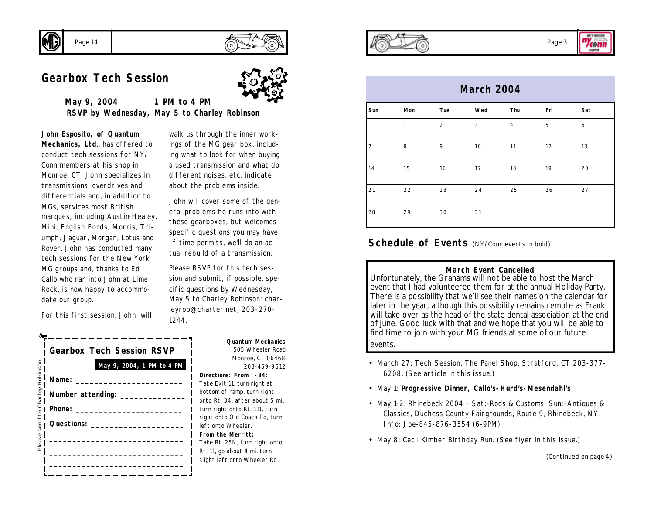

## **Gearbox Tech Session**



**May 9, 2004 1 PM to 4 PM RSVP by Wednesday, May 5 to Charley Robinson**

**John Esposito, of Quantum Mechanics, Ltd**., has offered to conduct tech sessions for NY/ Conn members at his shop in Monroe, CT. John specializes in transmissions, overdrives and differentials and, in addition to MGs, services most British marques, including Austin-Healey, Mini, English Fords, Morris, Triumph, Jaguar, Morgan, Lotus and Rover. John has conducted many tech sessions for the New York MG groups and, thanks to Ed Callo who ran into John at Lime Rock, is now happy to accommodate our group.

For this first session, John will

| <b>Gearbox Tech Session RSVP</b>                                                                                                                                                                                                                                                                                                                                                                                                             |
|----------------------------------------------------------------------------------------------------------------------------------------------------------------------------------------------------------------------------------------------------------------------------------------------------------------------------------------------------------------------------------------------------------------------------------------------|
| May 9, 2004, 1 PM to 4 PM                                                                                                                                                                                                                                                                                                                                                                                                                    |
|                                                                                                                                                                                                                                                                                                                                                                                                                                              |
|                                                                                                                                                                                                                                                                                                                                                                                                                                              |
| $\begin{array}{lllllllllll} \hline \text{S} & \text{May 9, 2004, 1 PM} \\ \hline \text{S} & \text{1} \\ \text{S} & \text{1} \\ \text{S} & \text{2} \\ \text{S} & \text{3} \\ \text{S} & \text{5} \\ \text{S} & \text{1} \\ \text{S} & \text{1} \\ \text{S} & \text{1} \\ \text{S} & \text{1} \\ \text{S} & \text{1} \\ \text{S} & \text{1} \\ \text{S} & \text{2} \\ \text{S} & \text{1} \\ \hline \text{S} & \text{1} \\ \hline \end{array$ |
|                                                                                                                                                                                                                                                                                                                                                                                                                                              |
|                                                                                                                                                                                                                                                                                                                                                                                                                                              |
|                                                                                                                                                                                                                                                                                                                                                                                                                                              |
|                                                                                                                                                                                                                                                                                                                                                                                                                                              |

walk us through the inner workings of the MG gear box, including what to look for when buying a used transmission and what do different noises, etc. indicate about the problems inside.

John will cover some of the general problems he runs into with these gearboxes, but welcomes specific questions you may have. If time permits, we'll do an actual rebuild of a transmission.

Please RSVP for this tech session and submit, if possible, specific questions by Wednesday, May 5 to Charley Robinson: charleyrob@charter.net; 203-270- 1244.

> **Quantum Mechanics** 505 Wheeler Road Monroe, CT 06468 203-459-9612

#### **Directions: From I-84:**

Take Exit 11, turn right at bottom of ramp, turn right onto Rt. 34, after about 5 mi. turn right onto Rt. 111, turn right onto Old Coach Rd, turn left onto Wheeler. **From the Merritt:** Take Rt. 25N, turn right onto Rt. 11, go about 4 mi. turn slight left onto Wheeler Rd.



"Yeonn **OMATER** 

|                |     |                | <b>March 2004</b> |            |     |     |
|----------------|-----|----------------|-------------------|------------|-----|-----|
| Sun            | Mon | Tue            | Wed               | Thu        | Fri | Sat |
|                | 1   | $\overline{c}$ | 3                 | $\sqrt{4}$ | 5   | 6   |
| $\overline{7}$ | 8   | 9              | 10                | 11         | 12  | 13  |
| 14             | 15  | 16             | 17                | 18         | 19  | 20  |
| 21             | 22  | 23             | 24                | 25         | 26  | 27  |
| 28             | 29  | 30             | 31                |            |     |     |

## **Schedule of Events** (NY/Conn events in bold)

#### **March Event Cancelled**

Unfortunately, the Grahams will not be able to host the March event that I had volunteered them for at the annual Holiday Party. There is a possibility that we'll see their names on the calendar for later in the year, although this possibility remains remote as Frank will take over as the head of the state dental association at the end of June. Good luck with that and we hope that you will be able to find time to join with your MG friends at some of our future events.

- March 27: Tech Session, The Panel Shop, Stratford, CT 203-377- 6208. (See article in this issue.)
- May 1: **Progressive Dinner, Callo's-Hurd's-Mesendahl's**
- May 1-2: Rhinebeck 2004 Sat:-Rods & Customs; Sun:-Antiques & Classics, Duchess County Fairgrounds, Route 9, Rhinebeck, NY. Info: Joe-845-876-3554 (6-9PM)
- May 8: Cecil Kimber Birthday Run. (See flyer in this issue.)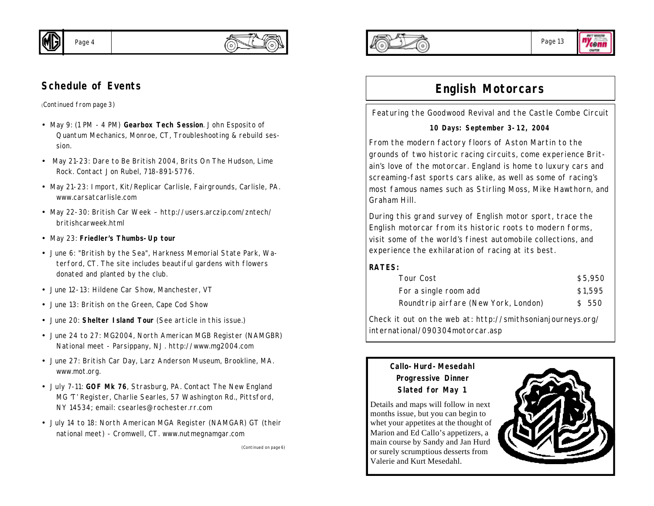

## **Schedule of Events**

*(Continued from page 3)*

- May 9: (1 PM 4 PM) **Gearbox Tech Session**. John Esposito of Quantum Mechanics, Monroe, CT, Troubleshooting & rebuild session.
- May 21-23: Dare to Be British 2004, Brits On The Hudson, Lime Rock. Contact Jon Rubel, 718-891-5776.
- May 21-23: Import, Kit/Replicar Carlisle, Fairgrounds, Carlisle, PA. www.carsatcarlisle.com
- May 22-30: British Car Week http://users.arczip.com/zntech/ britishcarweek.html
- *May 23: Friedler's Thumbs-Up tour*
- June 6: "British by the Sea", Harkness Memorial State Park, Waterford, CT. The site includes beautiful gardens with flowers donated and planted by the club.
- June 12-13: Hildene Car Show, Manchester, VT
- June 13: British on the Green, Cape Cod Show
- June 20: **Shelter Island Tour** (See article in this issue.)
- June 24 to 27: MG2004, North American MGB Register (NAMGBR) National meet - Parsippany, NJ. http://www.mg2004.com
- June 27: British Car Day, Larz Anderson Museum, Brookline, MA. www.mot.org.
- July 7-11: **GOF Mk 76**, Strasburg, PA. Contact The New England MG 'T' Register, Charlie Searles, 57 Washington Rd., Pittsford, NY 14534; email: csearles@rochester.rr.com
- July 14 to 18: North American MGA Register (NAMGAR) GT (their national meet) - Cromwell, CT. www.nutmegnamgar.com

*(Continued on page 6)*





# **English Motorcars**

Featuring the Goodwood Revival and the Castle Combe Circuit

## **10 Days: September 3-12, 2004**

From the modern factory floors of Aston Martin to the grounds of two historic racing circuits, come experience Britain's love of the motorcar. England is home to luxury cars and screaming-fast sports cars alike, as well as some of racing's most famous names such as Stirling Moss, Mike Hawthorn, and Graham Hill.

During this grand survey of English motor sport, trace the English motorcar from its historic roots to modern forms, visit some of the world's finest automobile collections, and experience the exhilaration of racing at its best.

## **RATES:**

| Tour Cost                            | \$5,950 |
|--------------------------------------|---------|
| For a single room add                | \$1,595 |
| Roundtrip airfare (New York, London) | \$ 550  |

Check it out on the web at: http://smithsonianjourneys.org/ international/090304motorcar.asp

## **Callo-Hurd-Mesedahl Progressive Dinner Slated for May 1**

Details and maps will follow in next months issue, but you can begin to whet your appetites at the thought of Marion and Ed Callo's appetizers, a main course by Sandy and Jan Hurd or surely scrumptious desserts from Valerie and Kurt Mesedahl.

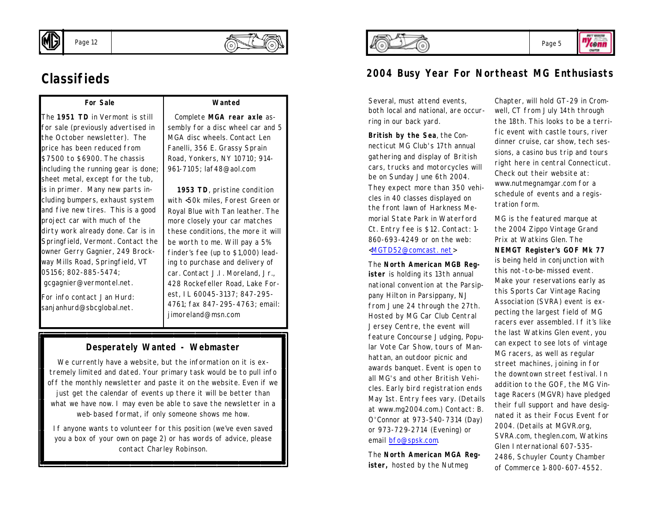

# **Classifieds**

## **For Sale**

The **1951 TD** in Vermont is still for sale (previously advertised in the October newsletter). The price has been reduced from \$7500 to \$6900. The chassis including the running gear is done; sheet metal, except for the tub, is in primer. Many new parts including bumpers, exhaust system and five new tires. This is a good project car with much of the dirty work already done. Car is in Springfield, Vermont. Contact the owner Gerry Gagnier, 249 Brockway Mills Road, Springfield, VT 05156; 802-885-5474; gcgagnier@vermontel.net.

For info contact Jan Hurd: sanjanhurd@sbcglobal.net.

## **Wanted**

 Complete **MGA rear axle** assembly for a disc wheel car and 5 MGA disc wheels. Contact Len Fanelli, 356 E. Grassy Sprain Road, Yonkers, NY 10710; 914- 961-7105; laf48@aol.com

 **1953 TD**, pristine condition with <50k miles, Forest Green or Royal Blue with Tan leather. The more closely your car matches these conditions, the more it will be worth to me. Will pay a 5% finder's fee (up to \$1,000) leading to purchase and delivery of car. Contact J.I. Moreland, Jr., 428 Rockefeller Road, Lake Forest, IL 60045-3137; 847-295- 4761; fax 847-295-4763; email: iimoreland@msn.com

## **Desperately Wanted - Webmaster**

We currently have a website, but the information on it is extremely limited and dated. Your primary task would be to pull info off the monthly newsletter and paste it on the website. Even if we just get the calendar of events up there it will be better than what we have now. I may even be able to save the newsletter in a web-based format, if only someone shows me how.

If anyone wants to volunteer for this position (we've even saved you a box of your own on page 2) or has words of advice, please contact Charley Robinson.



## **2004 Busy Year For Northeast MG Enthusiasts**

Several, must attend events, both local and national, are occurring in our back yard.

**British by the Sea**, the Connecticut MG Club's 17th annual gathering and display of British cars, trucks and motorcycles will be on Sunday June 6th 2004. They expect more than 350 vehicles in 40 classes displayed on the front lawn of Harkness Memorial State Park in Waterford Ct. Entry fee is \$12. Contact: 1- 860-693-4249 or on the web: <MGTD52@comcast. net>

The **North American MGB Register** is holding its 13th annual national convention at the Parsippany Hilton in Parsippany, NJ from June 24 through the 27th. Hosted by MG Car Club Central Jersey Centre, the event will feature Concourse Judging, Popular Vote Car Show, tours of Manhattan, an outdoor picnic and awards banquet. Event is open to all MG's and other British Vehicles. Early bird registration ends May 1st. Entry fees vary. (Details at www.mg2004.com.) Contact: B. O'Connor at 973-540-7314 (Day) or 973-729-2714 (Evening) or email bfo@spsk.com.

The **North American MGA Register,** hosted by the Nutmeg

Chapter, will hold GT-29 in Cromwell, CT from July 14th through the 18th. This looks to be a terrific event with castle tours, river dinner cruise, car show, tech sessions, a casino bus trip and tours right here in central Connecticut. Check out their website at: www.nutmegnamgar.com for a schedule of events and a registration form.

MG is the featured marque at the 2004 Zippo Vintage Grand Prix at Watkins Glen. The **NEMGT Register's GOF Mk 77**  is being held in conjunction with this not-to-be-missed event. Make your reservations early as this Sports Car Vintage Racing Association (SVRA) event is expecting the largest field of MG racers ever assembled. If it's like the last Watkins Glen event, you can expect to see lots of vintage MG racers, as well as regular street machines, joining in for the downtown street festival. In addition to the GOF, the MG Vintage Racers (MGVR) have pledged their full support and have designated it as their Focus Event for 2004. (Details at MGVR.org, SVRA.com, theglen.com, Watkins Glen International 607-535- 2486, Schuyler County Chamber of Commerce 1-800-607-4552.

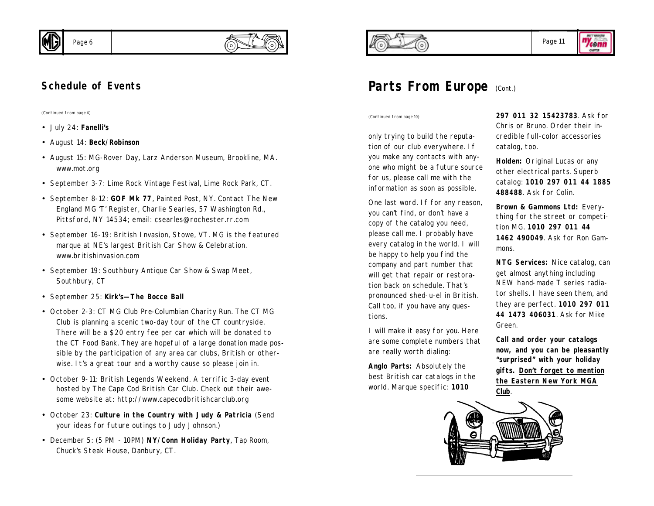

*(Continued from page 4)*

- July 24: **Fanelli's**
- August 14: **Beck/Robinson**
- August 15: MG-Rover Day, Larz Anderson Museum, Brookline, MA. www.mot.org
- September 3-7: Lime Rock Vintage Festival, Lime Rock Park, CT.
- September 8-12: **GOF Mk 77**, Painted Post, NY. Contact The New England MG 'T' Register, Charlie Searles, 57 Washington Rd., Pittsford, NY 14534; email: csearles@rochester.rr.com
- September 16-19: British Invasion, Stowe, VT. MG is the featured marque at NE's largest British Car Show & Celebration. www.britishinvasion.com
- September 19: Southbury Antique Car Show & Swap Meet, Southbury, CT
- September 25: **Kirk's—The Bocce Ball**
- October 2-3: CT MG Club Pre-Columbian Charity Run. The CT MG Club is planning a scenic two-day tour of the CT countryside. There will be a \$20 entry fee per car which will be donated to the CT Food Bank. They are hopeful of a large donation made possible by the participation of any area car clubs, British or otherwise. It's a great tour and a worthy cause so please join in.
- October 9-11: British Legends Weekend. A terrific 3-day event hosted by The Cape Cod British Car Club. Check out their awesome website at: http://www.capecodbritishcarclub.org
- October 23: **Culture in the Country with Judy & Patricia** (Send your ideas for future outings to Judy Johnson.)
- December 5: (5 PM 10PM) **NY/Conn Holiday Party**, Tap Room, Chuck's Steak House, Danbury, CT.



"Yconn **OMATER** 

# **Parts From Europe** (Cont.)

*(Continued from page 10)*

only trying to build the reputation of our club everywhere. If you make any contacts with anyone who might be a future source for us, please call me with the information as soon as possible.

One last word. If for any reason, you can't find, or don't have a copy of the catalog you need, please call me. I probably have every catalog in the world. I will be happy to help you find the company and part number that will get that repair or restoration back on schedule. That's pronounced shed-u-el in British. Call too, if you have any questions.

I will make it easy for you. Here are some complete numbers that are really worth dialing:

**Anglo Parts:** Absolutely the best British car catalogs in the world. Marque specific: **1010** 

**297 011 32 15423783**. Ask for Chris or Bruno. Order their incredible full-color accessories catalog, too.

**Holden:** Original Lucas or any other electrical parts. Superb catalog: **1010 297 011 44 1885 488488**. Ask for Colin.

**Brown & Gammons Ltd:** Everything for the street or competition MG. **1010 297 011 44 1462 490049**. Ask for Ron Gammons.

**NTG Services:** Nice catalog, can get almost anything including NEW hand-made T series radiator shells. I have seen them, and they are perfect. **1010 297 011 44 1473 406031**. Ask for Mike Green.

**Call and order your catalogs now, and you can be pleasantly "surprised" with your holiday gifts. Don't forget to mention the Eastern New York MGA Club**.

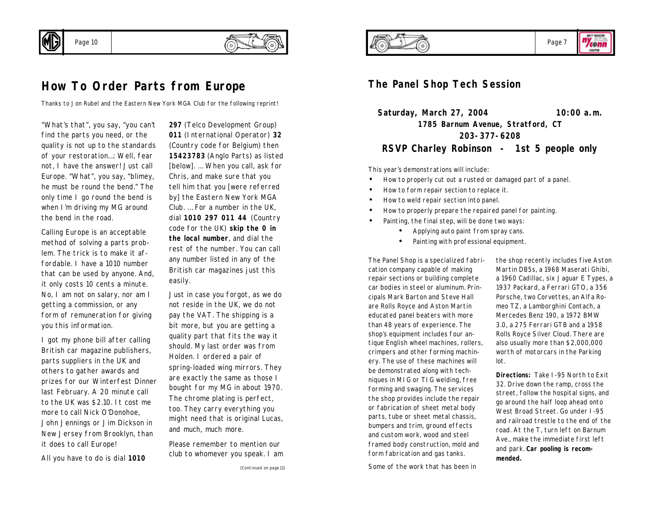

Page 10

## **How To Order Parts from Europe**

*Thanks to Jon Rubel and the Eastern New York MGA Club for the following reprint!*

"What's that", you say, "you can't find the parts you need, or the quality is not up to the standards of your restoration…: Well, fear not, I have the answer! Just call Europe. "What", you say, "blimey, he must be round the bend." The only time I go round the bend is when I'm driving my MG around the bend in the road.

Calling Europe is an acceptable method of solving a parts problem. The trick is to make it affordable. I have a 1010 number that can be used by anyone. And, it only costs 10 cents a minute. No, I am not on salary, nor am I getting a commission, or any form of remuneration for giving you this information.

I got my phone bill after calling British car magazine publishers, parts suppliers in the UK and others to gather awards and prizes for our Winterfest Dinner last February. A 20 minute call to the UK was \$2.10. It cost me more to call Nick O'Donohoe, John Jennings or Jim Dickson in New Jersey from Brooklyn, than it does to call Europe!

All you have to do is dial **1010**

**297** (Telco Development Group) **011** (International Operator) **32** (Country code for Belgium) then **15423783** (Anglo Parts) as listed [below]. … When you call, ask for Chris, and make sure that you tell him that you [were referred by] the Eastern New York MGA Club. … For a number in the UK, dial **1010 297 011 44** (Country code for the UK) **skip the 0 in the local number**, and dial the rest of the number. You can call any number listed in any of the British car magazines just this easily.

Just in case you forgot, as we do not reside in the UK, we do not pay the VAT. The shipping is a bit more, but you are getting a quality part that fits the way it should. My last order was from Holden. I ordered a pair of spring-loaded wing mirrors. They are exactly the same as those I bought for my MG in about 1970. The chrome plating is perfect, too. They carry everything you might need that is original Lucas, and much, much more.

Please remember to mention our club to whomever you speak. I am



**OMATER** 

**The Panel Shop Tech Session**

**Saturday, March 27, 2004 10:00 a.m. 1785 Barnum Avenue, Stratford, CT 203-377-6208 RSVP Charley Robinson - 1st 5 people only**

This year's demonstrations will include:

- How to properly cut out a rusted or damaged part of a panel.
- How to form repair section to replace it.
- How to weld repair section into panel.
- How to properly prepare the repaired panel for painting.
- Painting, the final step, will be done two ways:
	- Applying auto paint from spray cans.
	- Painting with professional equipment.

The Panel Shop is a specialized fabrication company capable of making repair sections or building complete car bodies in steel or aluminum. Principals Mark Barton and Steve Hall are Rolls Royce and Aston Martin educated panel beaters with more than 48 years of experience. The shop's equipment includes four antique English wheel machines, rollers, crimpers and other forming machinery. The use of these machines will be demonstrated along with techniques in MIG or TIG welding, free forming and swaging. The services the shop provides include the repair or fabrication of sheet metal body parts, tube or sheet metal chassis, bumpers and trim, ground effects and custom work, wood and steel framed body construction, mold and form fabrication and gas tanks.

Some of the work that has been in

the shop recently includes five Aston Martin DB5s, a 1968 Maserati Ghibi, a 1960 Cadillac, six Jaguar E Types, a 1937 Packard, a Ferrari GTO, a 356 Porsche, two Corvettes, an Alfa Romeo TZ, a Lamborghini Contach, a Mercedes Benz 190, a 1972 BMW 3.0, a 275 Ferrari GTB and a 1958 Rolls Royce Silver Cloud. There are also usually more than \$2,000,000 worth of motorcars in the Parking lot.

**Directions:** Take I-95 North to Exit 32. Drive down the ramp, cross the street, follow the hospital signs, and go around the half loop ahead onto West Broad Street. Go under I-95 and railroad trestle to the end of the road. At the T, turn left on Barnum Ave., make the immediate first left and park. **Car pooling is recommended.**